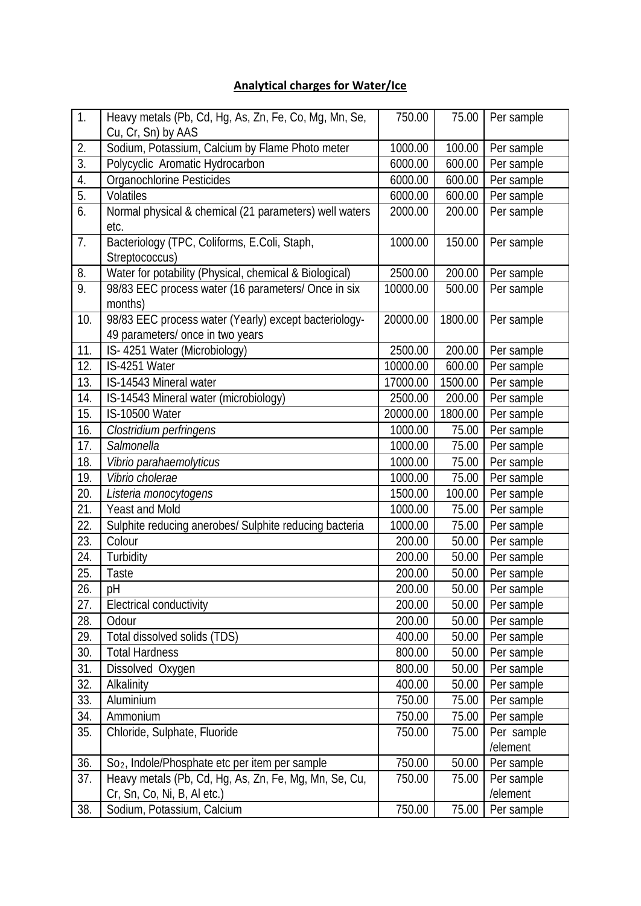## **Analytical charges for Water/Ice**

| 1.               | Heavy metals (Pb, Cd, Hg, As, Zn, Fe, Co, Mg, Mn, Se,<br>Cu, Cr, Sn) by AAS          | 750.00   | 75.00   | Per sample             |
|------------------|--------------------------------------------------------------------------------------|----------|---------|------------------------|
| 2.               | Sodium, Potassium, Calcium by Flame Photo meter                                      | 1000.00  | 100.00  | Per sample             |
| $\overline{3}$ . | Polycyclic Aromatic Hydrocarbon                                                      | 6000.00  | 600.00  | Per sample             |
| 4.               | Organochlorine Pesticides                                                            | 6000.00  | 600.00  | Per sample             |
| $\overline{5}$ . | Volatiles                                                                            | 6000.00  | 600.00  | Per sample             |
| 6.               | Normal physical & chemical (21 parameters) well waters                               | 2000.00  | 200.00  | Per sample             |
|                  | etc.                                                                                 |          |         |                        |
| 7.               | Bacteriology (TPC, Coliforms, E.Coli, Staph,                                         | 1000.00  | 150.00  | Per sample             |
|                  | Streptococcus)                                                                       |          |         |                        |
| 8.               | Water for potability (Physical, chemical & Biological)                               | 2500.00  | 200.00  | Per sample             |
| 9.               | 98/83 EEC process water (16 parameters/ Once in six                                  | 10000.00 | 500.00  | Per sample             |
|                  | months)                                                                              |          |         |                        |
| 10.              | 98/83 EEC process water (Yearly) except bacteriology-                                | 20000.00 | 1800.00 | Per sample             |
|                  | 49 parameters/ once in two years                                                     |          |         |                        |
| 11.              | IS-4251 Water (Microbiology)                                                         | 2500.00  | 200.00  | Per sample             |
| 12.              | IS-4251 Water                                                                        | 10000.00 | 600.00  | Per sample             |
| 13.              | IS-14543 Mineral water                                                               | 17000.00 | 1500.00 | Per sample             |
| 14.              | IS-14543 Mineral water (microbiology)                                                | 2500.00  | 200.00  | Per sample             |
| 15.              | <b>IS-10500 Water</b>                                                                | 20000.00 | 1800.00 | Per sample             |
| 16.              | Clostridium perfringens                                                              | 1000.00  | 75.00   | Per sample             |
| 17.              | Salmonella                                                                           | 1000.00  | 75.00   | Per sample             |
| 18.              | Vibrio parahaemolyticus                                                              | 1000.00  | 75.00   | Per sample             |
| 19.              | Vibrio cholerae                                                                      | 1000.00  | 75.00   | Per sample             |
| 20.              | Listeria monocytogens                                                                | 1500.00  | 100.00  | Per sample             |
| 21.              | <b>Yeast and Mold</b>                                                                | 1000.00  | 75.00   | Per sample             |
| 22.              | Sulphite reducing anerobes/ Sulphite reducing bacteria                               | 1000.00  | 75.00   | Per sample             |
| 23.              | Colour                                                                               | 200.00   | 50.00   | Per sample             |
| 24.              | Turbidity                                                                            | 200.00   | 50.00   | Per sample             |
| 25.              | Taste                                                                                | 200.00   | 50.00   | Per sample             |
| 26.              | pH                                                                                   | 200.00   | 50.00   | Per sample             |
| 27.              | Electrical conductivity                                                              | 200.00   | 50.00   | Per sample             |
| 28.              | Odour                                                                                | 200.00   | 50.00   | Per sample             |
| 29.              | Total dissolved solids (TDS)                                                         | 400.00   | 50.00   | Per sample             |
| 30.              | <b>Total Hardness</b>                                                                | 800.00   | 50.00   | Per sample             |
| 31.              | Dissolved Oxygen                                                                     | 800.00   | 50.00   | Per sample             |
| 32.              | Alkalinity                                                                           | 400.00   | 50.00   | Per sample             |
| 33.              | Aluminium                                                                            | 750.00   | 75.00   | Per sample             |
| 34.              | Ammonium                                                                             | 750.00   | 75.00   | Per sample             |
| 35.              | Chloride, Sulphate, Fluoride                                                         | 750.00   | 75.00   | Per sample             |
|                  |                                                                                      |          |         | /element               |
| 36.              | So <sub>2</sub> , Indole/Phosphate etc per item per sample                           | 750.00   | 50.00   | Per sample             |
| 37.              | Heavy metals (Pb, Cd, Hq, As, Zn, Fe, Mq, Mn, Se, Cu,<br>Cr, Sn, Co, Ni, B, Al etc.) | 750.00   | 75.00   | Per sample<br>/element |
| 38.              | Sodium, Potassium, Calcium                                                           | 750.00   | 75.00   | Per sample             |